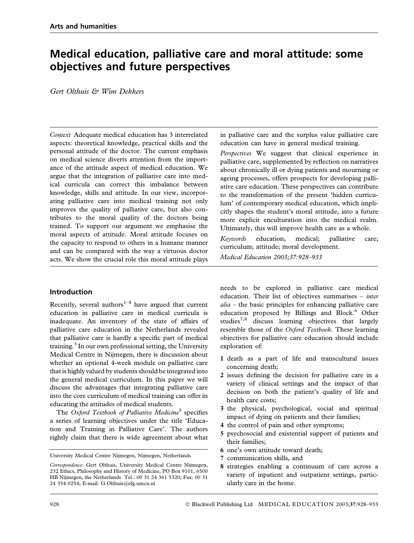# Medical education, palliative care and moral attitude: some objectives and future perspectives

Gert Olthuis & Wim Dekkers

Context Adequate medical education has 3 interrelated aspects: theoretical knowledge, practical skills and the personal attitude of the doctor. The current emphasis on medical science diverts attention from the importance of the attitude aspect of medical education. We argue that the integration of palliative care into medical curricula can correct this imbalance between knowledge, skills and attitude. In our view, incorporating palliative care into medical training not only improves the quality of palliative care, but also contributes to the moral quality of the doctors being trained. To support our argument we emphasise the moral aspects of attitude. Moral attitude focuses on the capacity to respond to others in a humane manner and can be compared with the way a virtuous doctor acts. We show the crucial role this moral attitude plays

## Introduction

Recently, several authors<sup>1–4</sup> have argued that current education in palliative care in medical curricula is inadequate. An inventory of the state of affairs of palliative care education in the Netherlands revealed that palliative care is hardly a specific part of medical training.<sup>3</sup> In our own professional setting, the University Medical Centre in Nijmegen, there is discussion about whether an optional 4-week module on palliative care that is highly valued by students should be integrated into the general medical curriculum. In this paper we will discuss the advantages that integrating palliative care into the core curriculum of medical training can offer in educating the attitudes of medical students.

The Oxford Textbook of Palliative Medicine<sup>5</sup> specifies a series of learning objectives under the title 'Education and Training in Palliative Care'. The authors rightly claim that there is wide agreement about what in palliative care and the surplus value palliative care education can have in general medical training.

Perspectives We suggest that clinical experience in palliative care, supplemented by reflection on narratives about chronically ill or dying patients and mourning or ageing processes, offers prospects for developing palliative care education. These perspectives can contribute to the transformation of the present 'hidden curriculum' of contemporary medical education, which implicitly shapes the student's moral attitude, into a future more explicit enculturation into the medical realm. Ultimately, this will improve health care as a whole.

Keywords education, medical; palliative care; curriculum; attitude; moral development.

Medical Education 2003;37:928–933

needs to be explored in palliative care medical education. Their list of objectives summarises – inter  $a\nu$  – the basic principles for enhancing palliative care education proposed by Billings and Block. $6$  Other studies<sup>7,8</sup> discuss learning objectives that largely resemble those of the Oxford Textbook. These learning objectives for palliative care education should include exploration of:

- 1 death as a part of life and transcultural issues concerning death;
- 2 issues defining the decision for palliative care in a variety of clinical settings and the impact of that decision on both the patient's quality of life and health care costs;
- 3 the physical, psychological, social and spiritual impact of dying on patients and their families;
- 4 the control of pain and other symptoms;
- 5 psychosocial and existential support of patients and their families;
- 6 one's own attitude toward death;
- 7 communication skills, and
- 8 strategies enabling a continuum of care across a variety of inpatient and outpatient settings, particularly care in the home.

University Medical Centre Nijmegen, Nijmegen, Netherlands

Correspondence: Gert Olthuis, University Medical Centre Nijmegen, 232 Ethics, Philosophy and History of Medicine, PO Box 9101, 6500 HB Nijmegen, the Netherlands. Tel.: 00 31 24 361 5320; Fax: 00 31 24 354 0254; E-mail: G.Olthuis@efg.umcn.nl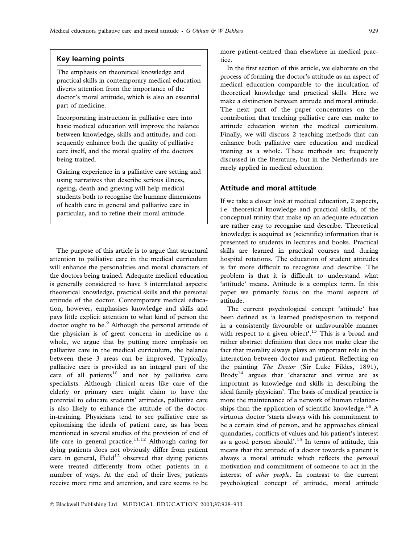#### Key learning points

The emphasis on theoretical knowledge and practical skills in contemporary medical education diverts attention from the importance of the doctor's moral attitude, which is also an essential part of medicine.

Incorporating instruction in palliative care into basic medical education will improve the balance between knowledge, skills and attitude, and consequently enhance both the quality of palliative care itself, and the moral quality of the doctors being trained.

Gaining experience in a palliative care setting and using narratives that describe serious illness, ageing, death and grieving will help medical students both to recognise the humane dimensions of health care in general and palliative care in particular, and to refine their moral attitude.

The purpose of this article is to argue that structural attention to palliative care in the medical curriculum will enhance the personalities and moral characters of the doctors being trained. Adequate medical education is generally considered to have 3 interrelated aspects: theoretical knowledge, practical skills and the personal attitude of the doctor. Contemporary medical education, however, emphasises knowledge and skills and pays little explicit attention to what kind of person the doctor ought to be.<sup>9</sup> Although the personal attitude of the physician is of great concern in medicine as a whole, we argue that by putting more emphasis on palliative care in the medical curriculum, the balance between these 3 areas can be improved. Typically, palliative care is provided as an integral part of the care of all patients $10$  and not by palliative care specialists. Although clinical areas like care of the elderly or primary care might claim to have the potential to educate students' attitudes, palliative care is also likely to enhance the attitude of the doctorin-training. Physicians tend to see palliative care as epitomising the ideals of patient care, as has been mentioned in several studies of the provision of end of life care in general practice.<sup>11,12</sup> Although caring for dying patients does not obviously differ from patient care in general, Field<sup>12</sup> observed that dying patients were treated differently from other patients in a number of ways. At the end of their lives, patients receive more time and attention, and care seems to be

more patient-centred than elsewhere in medical practice.

In the first section of this article, we elaborate on the process of forming the doctor's attitude as an aspect of medical education comparable to the inculcation of theoretical knowledge and practical skills. Here we make a distinction between attitude and moral attitude. The next part of the paper concentrates on the contribution that teaching palliative care can make to attitude education within the medical curriculum. Finally, we will discuss 2 teaching methods that can enhance both palliative care education and medical training as a whole. These methods are frequently discussed in the literature, but in the Netherlands are rarely applied in medical education.

## Attitude and moral attitude

If we take a closer look at medical education, 2 aspects, i.e. theoretical knowledge and practical skills, of the conceptual trinity that make up an adequate education are rather easy to recognise and describe. Theoretical knowledge is acquired as (scientific) information that is presented to students in lectures and books. Practical skills are learned in practical courses and during hospital rotations. The education of student attitudes is far more difficult to recognise and describe. The problem is that it is difficult to understand what 'attitude' means. Attitude is a complex term. In this paper we primarily focus on the moral aspects of attitude.

The current psychological concept 'attitude' has been defined as 'a learned predisposition to respond in a consistently favourable or unfavourable manner with respect to a given object'.<sup>13</sup> This is a broad and rather abstract definition that does not make clear the fact that morality always plays an important role in the interaction between doctor and patient. Reflecting on the painting *The Doctor* (Sir Luke Fildes, 1891), Brody<sup>14</sup> argues that 'character and virtue are as important as knowledge and skills in describing the ideal family physician'. The basis of medical practice is more the maintenance of a network of human relationships than the application of scientific knowledge.<sup>14</sup> A virtuous doctor 'starts always with his commitment to be a certain kind of person, and he approaches clinical quandaries, conflicts of values and his patient's interest as a good person should'.<sup>15</sup> In terms of attitude, this means that the attitude of a doctor towards a patient is always a moral attitude which reflects the *personal* motivation and commitment of someone to act in the interest of other people. In contrast to the current psychological concept of attitude, moral attitude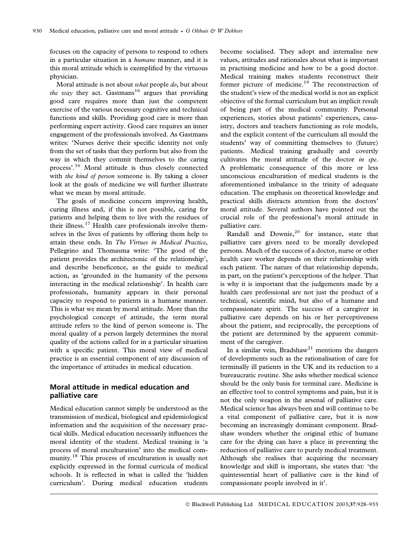focuses on the capacity of persons to respond to others in a particular situation in a humane manner, and it is this moral attitude which is exemplified by the virtuous physician.

Moral attitude is not about what people do, but about the way they act. Gastmans<sup>16</sup> argues that providing good care requires more than just the competent exercise of the various necessary cognitive and technical functions and skills. Providing good care is more than performing expert activity. Good care requires an inner engagement of the professionals involved. As Gastmans writes: 'Nurses derive their specific identity not only from the set of tasks that they perform but also from the way in which they commit themselves to the caring process'.<sup>16</sup> Moral attitude is thus closely connected with the kind of person someone is. By taking a closer look at the goals of medicine we will further illustrate what we mean by moral attitude.

The goals of medicine concern improving health, curing illness and, if this is not possible, caring for patients and helping them to live with the residues of their illness.<sup>17</sup> Health care professionals involve themselves in the lives of patients by offering them help to attain these ends. In The Virtues in Medical Practice, Pellegrino and Thomasma write: 'The good of the patient provides the architectonic of the relationship', and describe beneficence, as the guide to medical action, as 'grounded in the humanity of the persons interacting in the medical relationship'. In health care professionals, humanity appears in their personal capacity to respond to patients in a humane manner. This is what we mean by moral attitude. More than the psychological concept of attitude, the term moral attitude refers to the kind of person someone is. The moral quality of a person largely determines the moral quality of the actions called for in a particular situation with a specific patient. This moral view of medical practice is an essential component of any discussion of the importance of attitudes in medical education.

## Moral attitude in medical education and palliative care

Medical education cannot simply be understood as the transmission of medical, biological and epidemiological information and the acquisition of the necessary practical skills. Medical education necessarily influences the moral identity of the student. Medical training is 'a process of moral enculturation' into the medical community.<sup>18</sup> This process of enculturation is usually not explicitly expressed in the formal curricula of medical schools. It is reflected in what is called the 'hidden curriculum'. During medical education students

become socialised. They adopt and internalise new values, attitudes and rationales about what is important in practising medicine and how to be a good doctor. Medical training makes students reconstruct their former picture of medicine.<sup>19</sup> The reconstruction of the student's view of the medical world is not an explicit objective of the formal curriculum but an implicit result of being part of the medical community. Personal experiences, stories about patients' experiences, casuistry, doctors and teachers functioning as role models, and the explicit content of the curriculum all mould the students' way of committing themselves to (future) patients. Medical training gradually and covertly cultivates the moral attitude of the doctor in spe. A problematic consequence of this more or less unconscious enculturation of medical students is the aforementioned imbalance in the trinity of adequate education. The emphasis on theoretical knowledge and practical skills distracts attention from the doctors' moral attitude. Several authors have pointed out the crucial role of the professional's moral attitude in palliative care.

Randall and Downie, $20$  for instance, state that palliative care givers need to be morally developed persons. Much of the success of a doctor, nurse or other health care worker depends on their relationship with each patient. The nature of that relationship depends, in part, on the patient's perceptions of the helper. That is why it is important that the judgements made by a health care professional are not just the product of a technical, scientific mind, but also of a humane and compassionate spirit. The success of a caregiver in palliative care depends on his or her perceptiveness about the patient, and reciprocally, the perceptions of the patient are determined by the apparent commitment of the caregiver.

In a similar vein, Bradshaw<sup>21</sup> mentions the dangers of developments such as the rationalisation of care for terminally ill patients in the UK and its reduction to a bureaucratic routine. She asks whether medical science should be the only basis for terminal care. Medicine is an effective tool to control symptoms and pain, but it is not the only weapon in the arsenal of palliative care. Medical science has always been and will continue to be a vital component of palliative care, but it is now becoming an increasingly dominant component. Bradshaw wonders whether the original ethic of humane care for the dying can have a place in preventing the reduction of palliative care to purely medical treatment. Although she realises that acquiring the necessary knowledge and skill is important, she states that: 'the quintessential heart of palliative care is the kind of compassionate people involved in it'.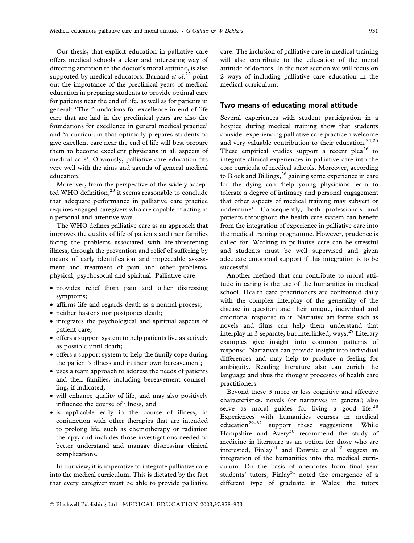Our thesis, that explicit education in palliative care offers medical schools a clear and interesting way of directing attention to the doctor's moral attitude, is also supported by medical educators. Barnard et al.<sup>22</sup> point out the importance of the preclinical years of medical education in preparing students to provide optimal care for patients near the end of life, as well as for patients in general: 'The foundations for excellence in end of life care that are laid in the preclinical years are also the foundations for excellence in general medical practice' and 'a curriculum that optimally prepares students to give excellent care near the end of life will best prepare them to become excellent physicians in all aspects of medical care'. Obviously, palliative care education fits very well with the aims and agenda of general medical education.

Moreover, from the perspective of the widely accepted WHO definition, $^{23}$  it seems reasonable to conclude that adequate performance in palliative care practice requires engaged caregivers who are capable of acting in a personal and attentive way.

The WHO defines palliative care as an approach that improves the quality of life of patients and their families facing the problems associated with life-threatening illness, through the prevention and relief of suffering by means of early identification and impeccable assessment and treatment of pain and other problems, physical, psychosocial and spiritual. Palliative care:

- provides relief from pain and other distressing symptoms;
- affirms life and regards death as a normal process;
- neither hastens nor postpones death;
- integrates the psychological and spiritual aspects of patient care;
- offers a support system to help patients live as actively as possible until death;
- offers a support system to help the family cope during the patient's illness and in their own bereavement;
- uses a team approach to address the needs of patients and their families, including bereavement counselling, if indicated;
- will enhance quality of life, and may also positively influence the course of illness, and
- is applicable early in the course of illness, in conjunction with other therapies that are intended to prolong life, such as chemotherapy or radiation therapy, and includes those investigations needed to better understand and manage distressing clinical complications.

In our view, it is imperative to integrate palliative care into the medical curriculum. This is dictated by the fact that every caregiver must be able to provide palliative

care. The inclusion of palliative care in medical training will also contribute to the education of the moral attitude of doctors. In the next section we will focus on 2 ways of including palliative care education in the medical curriculum.

## Two means of educating moral attitude

Several experiences with student participation in a hospice during medical training show that students consider experiencing palliative care practice a welcome and very valuable contribution to their education.<sup>24,25</sup> These empirical studies support a recent plea<sup>26</sup> to integrate clinical experiences in palliative care into the core curricula of medical schools. Moreover, according to Block and Billings,  $^{26}$  gaining some experience in care for the dying can 'help young physicians learn to tolerate a degree of intimacy and personal engagement that other aspects of medical training may subvert or undermine'. Consequently, both professionals and patients throughout the health care system can benefit from the integration of experience in palliative care into the medical training programme. However, prudence is called for. Working in palliative care can be stressful and students must be well supervised and given adequate emotional support if this integration is to be successful.

Another method that can contribute to moral attitude in caring is the use of the humanities in medical school. Health care practitioners are confronted daily with the complex interplay of the generality of the disease in question and their unique, individual and emotional response to it. Narrative art forms such as novels and films can help them understand that interplay in 3 separate, but interlinked, ways. $27$  Literary examples give insight into common patterns of response. Narratives can provide insight into individual differences and may help to produce a feeling for ambiguity. Reading literature also can enrich the language and thus the thought processes of health care practitioners.

Beyond these 3 more or less cognitive and affective characteristics, novels (or narratives in general) also serve as moral guides for living a good life. $^{28}$ Experiences with humanities courses in medical education<sup>29–32</sup> support these suggestions. While Hampshire and Avery<sup>30</sup> recommend the study of medicine in literature as an option for those who are interested, Finlay<sup>31</sup> and Downie et al.<sup>32</sup> suggest an integration of the humanities into the medical curriculum. On the basis of anecdotes from final year students' tutors,  $\text{Finlay}^{31}$  noted the emergence of a different type of graduate in Wales: the tutors

Blackwell Publishing Ltd MEDICAL EDUCATION 2003;37:928–933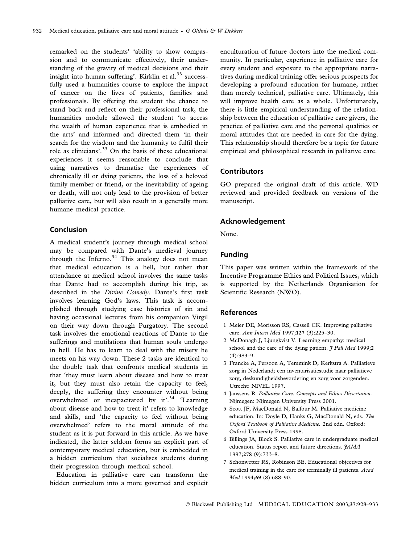remarked on the students' 'ability to show compassion and to communicate effectively, their understanding of the gravity of medical decisions and their insight into human suffering'. Kirklin et al. $33$  successfully used a humanities course to explore the impact of cancer on the lives of patients, families and professionals. By offering the student the chance to stand back and reflect on their professional task, the humanities module allowed the student 'to access the wealth of human experience that is embodied in the arts' and informed and directed them 'in their search for the wisdom and the humanity to fulfil their role as clinicians'.<sup>33</sup> On the basis of these educational experiences it seems reasonable to conclude that using narratives to dramatise the experiences of chronically ill or dying patients, the loss of a beloved family member or friend, or the inevitability of ageing or death, will not only lead to the provision of better palliative care, but will also result in a generally more humane medical practice.

## Conclusion

A medical student's journey through medical school may be compared with Dante's medieval journey through the Inferno. $34$  This analogy does not mean that medical education is a hell, but rather that attendance at medical school involves the same tasks that Dante had to accomplish during his trip, as described in the Divine Comedy. Dante's first task involves learning God's laws. This task is accomplished through studying case histories of sin and having occasional lectures from his companion Virgil on their way down through Purgatory. The second task involves the emotional reactions of Dante to the sufferings and mutilations that human souls undergo in hell. He has to learn to deal with the misery he meets on his way down. These 2 tasks are identical to the double task that confronts medical students in that 'they must learn about disease and how to treat it, but they must also retain the capacity to feel, deeply, the suffering they encounter without being overwhelmed or incapacitated by it'.<sup>34</sup> 'Learning about disease and how to treat it' refers to knowledge and skills, and 'the capacity to feel without being overwhelmed' refers to the moral attitude of the student as it is put forward in this article. As we have indicated, the latter seldom forms an explicit part of contemporary medical education, but is embedded in a hidden curriculum that socialises students during their progression through medical school.

Education in palliative care can transform the hidden curriculum into a more governed and explicit enculturation of future doctors into the medical community. In particular, experience in palliative care for every student and exposure to the appropriate narratives during medical training offer serious prospects for developing a profound education for humane, rather than merely technical, palliative care. Ultimately, this will improve health care as a whole. Unfortunately, there is little empirical understanding of the relationship between the education of palliative care givers, the practice of palliative care and the personal qualities or moral attitudes that are needed in care for the dying. This relationship should therefore be a topic for future empirical and philosophical research in palliative care.

## **Contributors**

GO prepared the original draft of this article. WD reviewed and provided feedback on versions of the manuscript.

## Acknowledgement

None.

## Funding

This paper was written within the framework of the Incentive Programme Ethics and Political Issues, which is supported by the Netherlands Organisation for Scientific Research (NWO).

## References

- 1 Meier DE, Morisson RS, Cassell CK. Improving palliative care. Ann Intern Med 1997;127 (3):225–30.
- 2 McDonagh J, Ljungkvist V. Learning empathy: medical school and the care of the dying patient. J Pall Med 1999;2 (4):383–9.
- 3 Francke A, Persoon A, Temmink D, Kerkstra A. Palliatieve zorg in Nederland; een inventarisatiestudie naar palliatieve zorg, deskundigheidsbevordering en zorg voor zorgenden. Utrecht: NIVEL 1997.
- 4 Janssens R. Palliative Care. Concepts and Ethics Dissertation. Nijmegen: Nijmegen University Press 2001.
- 5 Scott JF, MacDonald N, Balfour M. Palliative medicine education. In: Doyle D, Hanks G, MacDonald N, eds. The Oxford Textbook of Palliative Medicine. 2nd edn. Oxford: Oxford University Press 1998.
- 6 Billings JA, Block S. Palliative care in undergraduate medical education. Status report and future directions.  $JAMA$ 1997;278 (9):733–8.
- 7 Schonwetter RS, Robinson BE. Educational objectives for medical training in the care for terminally ill patients. Acad Med 1994;69 (8):688–90.